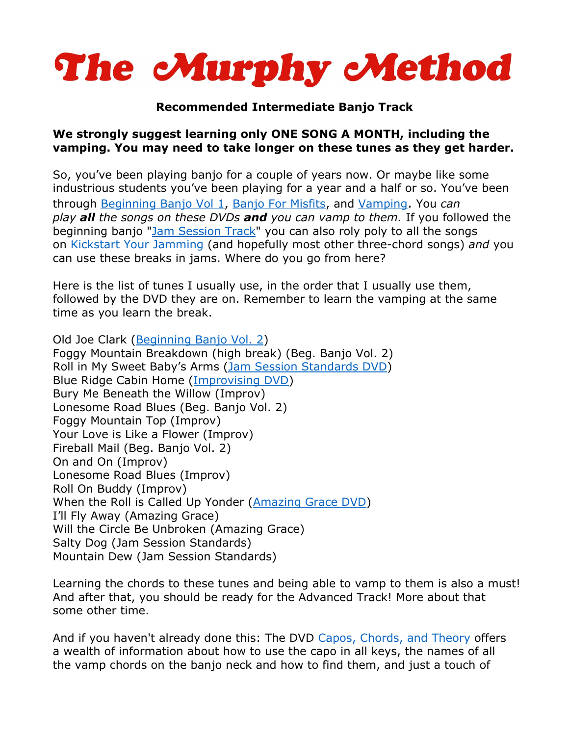

# **Recommended Intermediate Banjo Track**

## **We strongly suggest learning only ONE SONG A MONTH, including the vamping. You may need to take longer on these tunes as they get harder.**

So, you've been playing banjo for a couple of years now. Or maybe like some industrious students you've been playing for a year and a half or so. You've been through [Beginning Banjo Vol 1,](http://www.murphymethod.com/index.cfm?event=pages.product&pid=70) [Banjo For Misfits,](http://www.murphymethod.com/index.cfm?event=pages.product&pid=75) and [Vamping.](http://www.murphymethod.com/index.cfm?event=pages.product&pid=14) You *can play all the songs on these DVDs and you can vamp to them.* If you followed the beginning banjo ["Jam Session Track"](http://blog.murphymethod.com/2008/10/09/beginning-banjo-track/#jamtrack) you can also roly poly to all the songs on [Kickstart Your Jamming](http://www.murphymethod.com/index.cfm?event=pages.product&pid=193) (and hopefully most other three-chord songs) *and* you can use these breaks in jams. Where do you go from here?

Here is the list of tunes I usually use, in the order that I usually use them, followed by the DVD they are on. Remember to learn the vamping at the same time as you learn the break.

Old Joe Clark [\(Beginning Banjo Vol. 2\)](http://www.murphymethod.com/index.cfm?event=pages.product&pid=72) Foggy Mountain Breakdown (high break) (Beg. Banjo Vol. 2) Roll in My Sweet Baby's Arms ([Jam Session Standards DVD\)](http://www.murphymethod.com/index.cfm?event=pages.product&pid=73) Blue Ridge Cabin Home ([Improvising DVD\)](http://www.murphymethod.com/index.cfm?event=pages.product&pid=9) Bury Me Beneath the Willow (Improv) Lonesome Road Blues (Beg. Banjo Vol. 2) Foggy Mountain Top (Improv) Your Love is Like a Flower (Improv) Fireball Mail (Beg. Banjo Vol. 2) On and On (Improv) Lonesome Road Blues (Improv) Roll On Buddy (Improv) When the Roll is Called Up Yonder ([Amazing Grace DVD\)](http://www.murphymethod.com/index.cfm?event=pages.product&pid=16) I'll Fly Away (Amazing Grace) Will the Circle Be Unbroken (Amazing Grace) Salty Dog (Jam Session Standards) Mountain Dew (Jam Session Standards)

Learning the chords to these tunes and being able to vamp to them is also a must! And after that, you should be ready for the Advanced Track! More about that some other time.

And if you haven't already done this: The DVD [Capos, Chords, and Theory](http://www.murphymethod.com/index.cfm?event=pages.product&pid=13) offers a wealth of information about how to use the capo in all keys, the names of all the vamp chords on the banjo neck and how to find them, and just a touch of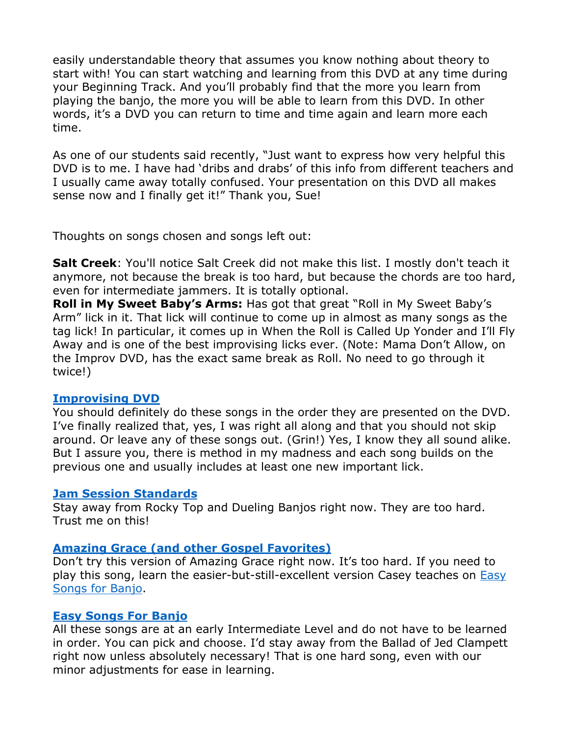easily understandable theory that assumes you know nothing about theory to start with! You can start watching and learning from this DVD at any time during your Beginning Track. And you'll probably find that the more you learn from playing the banjo, the more you will be able to learn from this DVD. In other words, it's a DVD you can return to time and time again and learn more each time.

As one of our students said recently, "Just want to express how very helpful this DVD is to me. I have had 'dribs and drabs' of this info from different teachers and I usually came away totally confused. Your presentation on this DVD all makes sense now and I finally get it!" Thank you, Sue!

Thoughts on songs chosen and songs left out:

**Salt Creek**: You'll notice Salt Creek did not make this list. I mostly don't teach it anymore, not because the break is too hard, but because the chords are too hard, even for intermediate jammers. It is totally optional.

**Roll in My Sweet Baby's Arms:** Has got that great "Roll in My Sweet Baby's Arm" lick in it. That lick will continue to come up in almost as many songs as the tag lick! In particular, it comes up in When the Roll is Called Up Yonder and I'll Fly Away and is one of the best improvising licks ever. (Note: Mama Don't Allow, on the Improv DVD, has the exact same break as Roll. No need to go through it twice!)

### **[Improvising DVD](http://www.murphymethod.com/index.cfm?event=pages.product&pid=9)**

You should definitely do these songs in the order they are presented on the DVD. I've finally realized that, yes, I was right all along and that you should not skip around. Or leave any of these songs out. (Grin!) Yes, I know they all sound alike. But I assure you, there is method in my madness and each song builds on the previous one and usually includes at least one new important lick.

### **[Jam Session Standards](http://www.murphymethod.com/index.cfm?event=pages.product&pid=73)**

Stay away from Rocky Top and Dueling Banjos right now. They are too hard. Trust me on this!

### **[Amazing Grace \(and other Gospel Favorites\)](http://www.murphymethod.com/index.cfm?event=pages.product&pid=16)**

Don't try this version of Amazing Grace right now. It's too hard. If you need to play this song, learn the easier-but-still-excellent version Casey teaches on [Easy](http://www.murphymethod.com/index.cfm?event=pages.product&pid=141)  [Songs for Banjo.](http://www.murphymethod.com/index.cfm?event=pages.product&pid=141)

### **[Easy Songs For Banjo](http://www.murphymethod.com/index.cfm?event=pages.product&pid=141)**

All these songs are at an early Intermediate Level and do not have to be learned in order. You can pick and choose. I'd stay away from the Ballad of Jed Clampett right now unless absolutely necessary! That is one hard song, even with our minor adjustments for ease in learning.